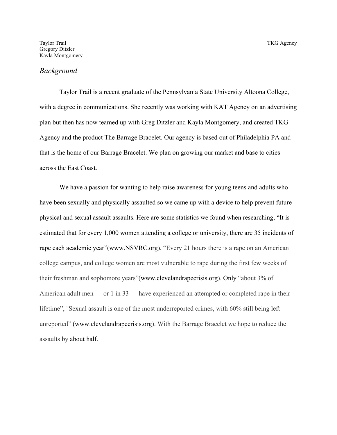#### *Background*

Taylor Trail is a recent graduate of the Pennsylvania State University Altoona College, with a degree in communications. She recently was working with KAT Agency on an advertising plan but then has now teamed up with Greg Ditzler and Kayla Montgomery, and created TKG Agency and the product The Barrage Bracelet. Our agency is based out of Philadelphia PA and that is the home of our Barrage Bracelet. We plan on growing our market and base to cities across the East Coast.

We have a passion for wanting to help raise awareness for young teens and adults who have been sexually and physically assaulted so we came up with a device to help prevent future physical and sexual assault assaults. Here are some statistics we found when researching, "It is estimated that for every 1,000 women attending a college or university, there are 35 incidents of rape each academic year"(www.NSVRC.org). "Every 21 hours there is a rape on an American college campus, and college women are most vulnerable to rape during the first few weeks of their freshman and sophomore years"(www.clevelandrapecrisis.org). Only "about 3% of American adult men — or 1 in 33 — have experienced an attempted or completed rape in their lifetime", "Sexual assault is one of the most underreported crimes, with 60% still being left unreported" (www.clevelandrapecrisis.org). With the Barrage Bracelet we hope to reduce the assaults by about half.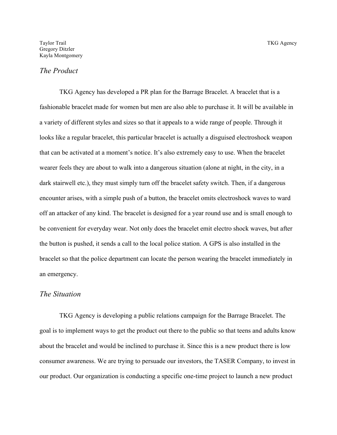### *The Product*

TKG Agency has developed a PR plan for the Barrage Bracelet. A bracelet that is a fashionable bracelet made for women but men are also able to purchase it. It will be available in a variety of different styles and sizes so that it appeals to a wide range of people. Through it looks like a regular bracelet, this particular bracelet is actually a disguised electroshock weapon that can be activated at a moment's notice. It's also extremely easy to use. When the bracelet wearer feels they are about to walk into a dangerous situation (alone at night, in the city, in a dark stairwell etc.), they must simply turn off the bracelet safety switch. Then, if a dangerous encounter arises, with a simple push of a button, the bracelet omits electroshock waves to ward off an attacker of any kind. The bracelet is designed for a year round use and is small enough to be convenient for everyday wear. Not only does the bracelet emit electro shock waves, but after the button is pushed, it sends a call to the local police station. A GPS is also installed in the bracelet so that the police department can locate the person wearing the bracelet immediately in an emergency.

# *The Situation*

TKG Agency is developing a public relations campaign for the Barrage Bracelet. The goal is to implement ways to get the product out there to the public so that teens and adults know about the bracelet and would be inclined to purchase it. Since this is a new product there is low consumer awareness. We are trying to persuade our investors, the TASER Company, to invest in our product. Our organization is conducting a specific one-time project to launch a new product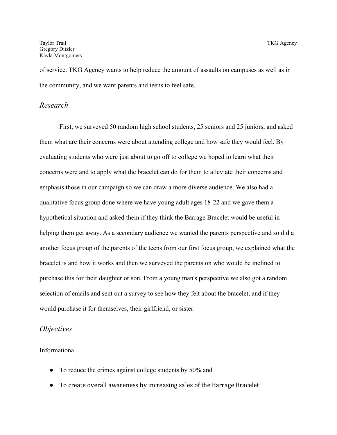of service. TKG Agency wants to help reduce the amount of assaults on campuses as well as in the community, and we want parents and teens to feel safe.

#### *Research*

First, we surveyed 50 random high school students, 25 seniors and 25 juniors, and asked them what are their concerns were about attending college and how safe they would feel. By evaluating students who were just about to go off to college we hoped to learn what their concerns were and to apply what the bracelet can do for them to alleviate their concerns and emphasis those in our campaign so we can draw a more diverse audience. We also had a qualitative focus group done where we have young adult ages 18-22 and we gave them a hypothetical situation and asked them if they think the Barrage Bracelet would be useful in helping them get away. As a secondary audience we wanted the parents perspective and so did a another focus group of the parents of the teens from our first focus group, we explained what the bracelet is and how it works and then we surveyed the parents on who would be inclined to purchase this for their daughter or son. From a young man's perspective we also got a random selection of emails and sent out a survey to see how they felt about the bracelet, and if they would purchase it for themselves, their girlfriend, or sister.

#### *Objectives*

Informational

- To reduce the crimes against college students by 50% and
- To create overall awareness by increasing sales of the Barrage Bracelet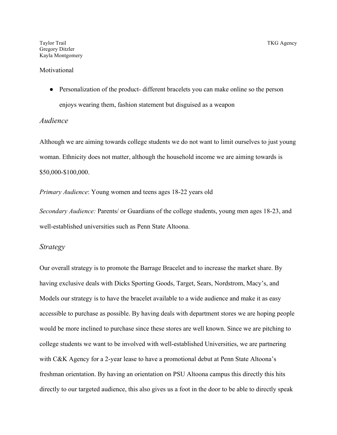#### **Motivational**

• Personalization of the product- different bracelets you can make online so the person enjoys wearing them, fashion statement but disguised as a weapon

#### *Audience*

Although we are aiming towards college students we do not want to limit ourselves to just young woman. Ethnicity does not matter, although the household income we are aiming towards is \$50,000-\$100,000.

*Primary Audience*: Young women and teens ages 18-22 years old

*Secondary Audience:* Parents/ or Guardians of the college students, young men ages 18-23, and well-established universities such as Penn State Altoona.

#### *Strategy*

Our overall strategy is to promote the Barrage Bracelet and to increase the market share. By having exclusive deals with Dicks Sporting Goods, Target, Sears, Nordstrom, Macy's, and Models our strategy is to have the bracelet available to a wide audience and make it as easy accessible to purchase as possible. By having deals with department stores we are hoping people would be more inclined to purchase since these stores are well known. Since we are pitching to college students we want to be involved with well-established Universities, we are partnering with C&K Agency for a 2-year lease to have a promotional debut at Penn State Altoona's freshman orientation. By having an orientation on PSU Altoona campus this directly this hits directly to our targeted audience, this also gives us a foot in the door to be able to directly speak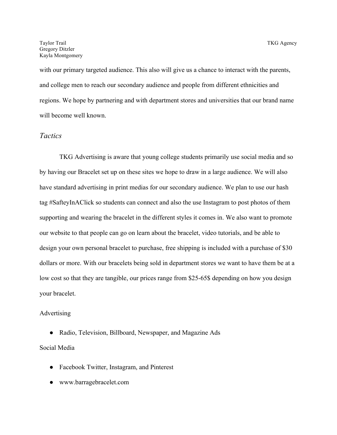with our primary targeted audience. This also will give us a chance to interact with the parents, and college men to reach our secondary audience and people from different ethnicities and regions. We hope by partnering and with department stores and universities that our brand name will become well known.

## *Tactics*

TKG Advertising is aware that young college students primarily use social media and so by having our Bracelet set up on these sites we hope to draw in a large audience. We will also have standard advertising in print medias for our secondary audience. We plan to use our hash tag #SafteyInAClick so students can connect and also the use Instagram to post photos of them supporting and wearing the bracelet in the different styles it comes in. We also want to promote our website to that people can go on learn about the bracelet, video tutorials, and be able to design your own personal bracelet to purchase, free shipping is included with a purchase of \$30 dollars or more. With our bracelets being sold in department stores we want to have them be at a low cost so that they are tangible, our prices range from \$25-65\$ depending on how you design your bracelet.

#### Advertising

● Radio, Television, Billboard, Newspaper, and Magazine Ads

### Social Media

- Facebook Twitter, Instagram, and Pinterest
- www.barragebracelet.com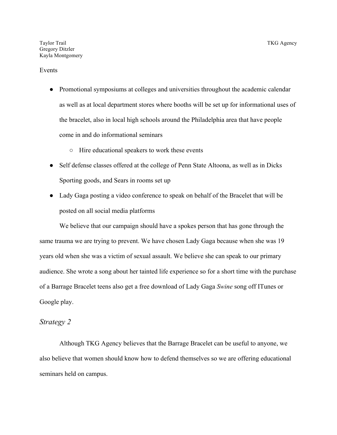#### Events

- Promotional symposiums at colleges and universities throughout the academic calendar as well as at local department stores where booths will be set up for informational uses of the bracelet, also in local high schools around the Philadelphia area that have people come in and do informational seminars
	- Hire educational speakers to work these events
- Self defense classes offered at the college of Penn State Altoona, as well as in Dicks Sporting goods, and Sears in rooms set up
- Lady Gaga posting a video conference to speak on behalf of the Bracelet that will be posted on all social media platforms

We believe that our campaign should have a spokes person that has gone through the same trauma we are trying to prevent. We have chosen Lady Gaga because when she was 19 years old when she was a victim of sexual assault. We believe she can speak to our primary audience. She wrote a song about her tainted life experience so for a short time with the purchase of a Barrage Bracelet teens also get a free download of Lady Gaga *Swine* song off ITunes or Google play.

#### *Strategy 2*

Although TKG Agency believes that the Barrage Bracelet can be useful to anyone, we also believe that women should know how to defend themselves so we are offering educational seminars held on campus.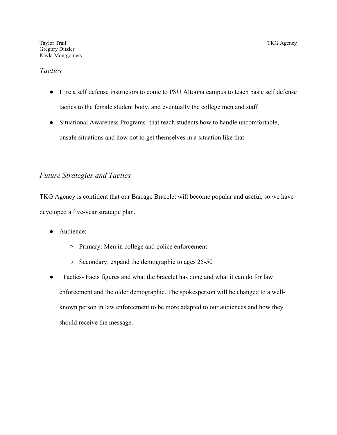### *Tactics*

- Hire a self defense instructors to come to PSU Altoona campus to teach basic self defense tactics to the female student body, and eventually the college men and staff
- Situational Awareness Programs- that teach students how to handle uncomfortable, unsafe situations and how not to get themselves in a situation like that

## *Future Strategies and Tactics*

TKG Agency is confident that our Barrage Bracelet will become popular and useful, so we have developed a five-year strategic plan.

- Audience:
	- Primary: Men in college and police enforcement
	- Secondary: expand the demographic to ages 25-50
- Tactics- Facts figures and what the bracelet has done and what it can do for law enforcement and the older demographic. The spokesperson will be changed to a wellknown person in law enforcement to be more adapted to our audiences and how they should receive the message.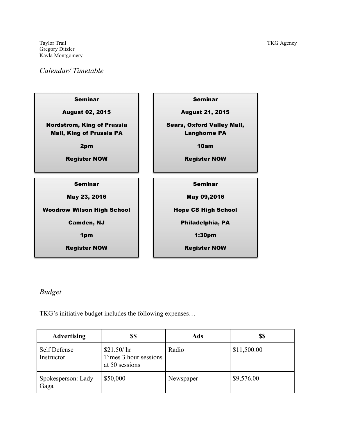Taylor Trail Taylor Trail TKG Agency Gregory Ditzler Kayla Montgomery

## *Calendar/ Timetable*



# *Budget*

TKG's initiative budget includes the following expenses…

| <b>Advertising</b>         | \$\$                                                  | Ads       | \$\$        |
|----------------------------|-------------------------------------------------------|-----------|-------------|
| Self Defense<br>Instructor | \$21.50/hr<br>Times 3 hour sessions<br>at 50 sessions | Radio     | \$11,500.00 |
| Spokesperson: Lady<br>Gaga | \$50,000                                              | Newspaper | \$9,576.00  |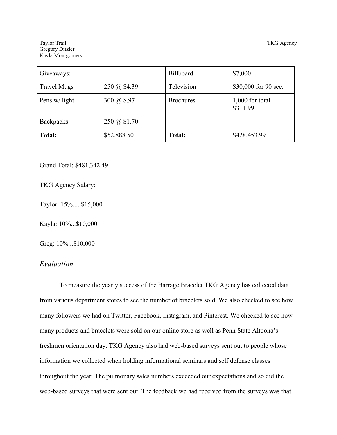Taylor Trail Taylor Trail TKG Agency Gregory Ditzler Kayla Montgomery

| Giveaways:         |              | Billboard        | \$7,000                     |
|--------------------|--------------|------------------|-----------------------------|
| <b>Travel Mugs</b> | 250 @ \$4.39 | Television       | \$30,000 for 90 sec.        |
| Pens w/ light      | 300 @ \$.97  | <b>Brochures</b> | 1,000 for total<br>\$311.99 |
| <b>Backpacks</b>   | 250 @ \$1.70 |                  |                             |
| Total:             | \$52,888.50  | <b>Total:</b>    | \$428,453.99                |

Grand Total: \$481,342.49

TKG Agency Salary:

Taylor: 15%.... \$15,000

Kayla: 10%...\$10,000

Greg: 10%...\$10,000

## *Evaluation*

To measure the yearly success of the Barrage Bracelet TKG Agency has collected data from various department stores to see the number of bracelets sold. We also checked to see how many followers we had on Twitter, Facebook, Instagram, and Pinterest. We checked to see how many products and bracelets were sold on our online store as well as Penn State Altoona's freshmen orientation day. TKG Agency also had web-based surveys sent out to people whose information we collected when holding informational seminars and self defense classes throughout the year. The pulmonary sales numbers exceeded our expectations and so did the web-based surveys that were sent out. The feedback we had received from the surveys was that